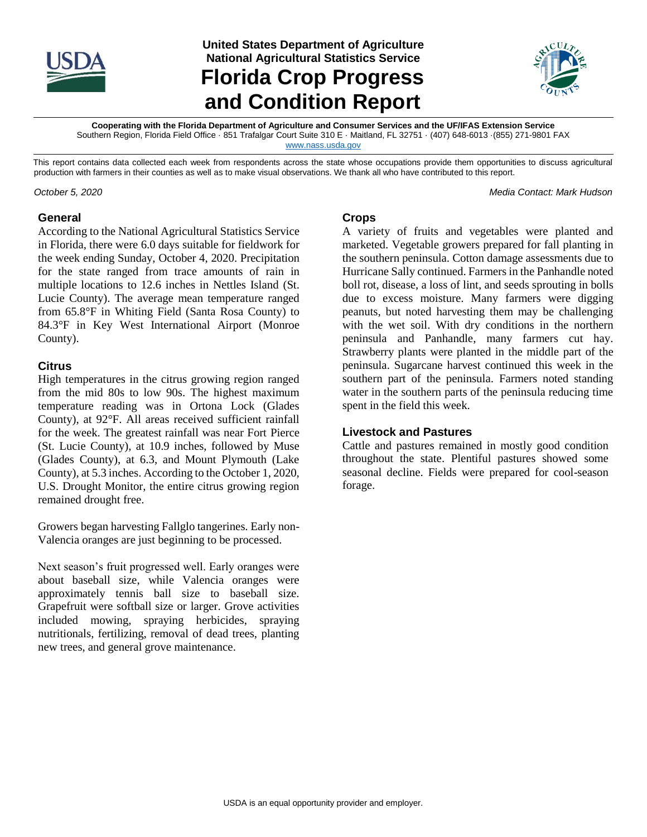

**United States Department of Agriculture National Agricultural Statistics Service**

**Florida Crop Progress and Condition Report**



**Cooperating with the Florida Department of Agriculture and Consumer Services and the UF/IFAS Extension Service** Southern Region, Florida Field Office · 851 Trafalgar Court Suite 310 E · Maitland, FL 32751 · (407) 648-6013 ·(855) 271-9801 FAX

[www.nass.usda.gov](file://///kcfsn02/SOR/PUBLICATIONS/ARG/GA/PUB/WEATHER/www.nass.usda.gov)

This report contains data collected each week from respondents across the state whose occupations provide them opportunities to discuss agricultural production with farmers in their counties as well as to make visual observations. We thank all who have contributed to this report.

*October 5, 2020 Media Contact: Mark Hudson*

### **General**

According to the National Agricultural Statistics Service in Florida, there were 6.0 days suitable for fieldwork for the week ending Sunday, October 4, 2020. Precipitation for the state ranged from trace amounts of rain in multiple locations to 12.6 inches in Nettles Island (St. Lucie County). The average mean temperature ranged from 65.8°F in Whiting Field (Santa Rosa County) to 84.3°F in Key West International Airport (Monroe County).

### **Citrus**

High temperatures in the citrus growing region ranged from the mid 80s to low 90s. The highest maximum temperature reading was in Ortona Lock (Glades County), at 92°F. All areas received sufficient rainfall for the week. The greatest rainfall was near Fort Pierce (St. Lucie County), at 10.9 inches, followed by Muse (Glades County), at 6.3, and Mount Plymouth (Lake County), at 5.3 inches. According to the October 1, 2020, U.S. Drought Monitor, the entire citrus growing region remained drought free.

Growers began harvesting Fallglo tangerines. Early non-Valencia oranges are just beginning to be processed.

Next season's fruit progressed well. Early oranges were about baseball size, while Valencia oranges were approximately tennis ball size to baseball size. Grapefruit were softball size or larger. Grove activities included mowing, spraying herbicides, spraying nutritionals, fertilizing, removal of dead trees, planting new trees, and general grove maintenance.

#### **Crops**

A variety of fruits and vegetables were planted and marketed. Vegetable growers prepared for fall planting in the southern peninsula. Cotton damage assessments due to Hurricane Sally continued. Farmers in the Panhandle noted boll rot, disease, a loss of lint, and seeds sprouting in bolls due to excess moisture. Many farmers were digging peanuts, but noted harvesting them may be challenging with the wet soil. With dry conditions in the northern peninsula and Panhandle, many farmers cut hay. Strawberry plants were planted in the middle part of the peninsula. Sugarcane harvest continued this week in the southern part of the peninsula. Farmers noted standing water in the southern parts of the peninsula reducing time spent in the field this week.

### **Livestock and Pastures**

Cattle and pastures remained in mostly good condition throughout the state. Plentiful pastures showed some seasonal decline. Fields were prepared for cool-season forage.